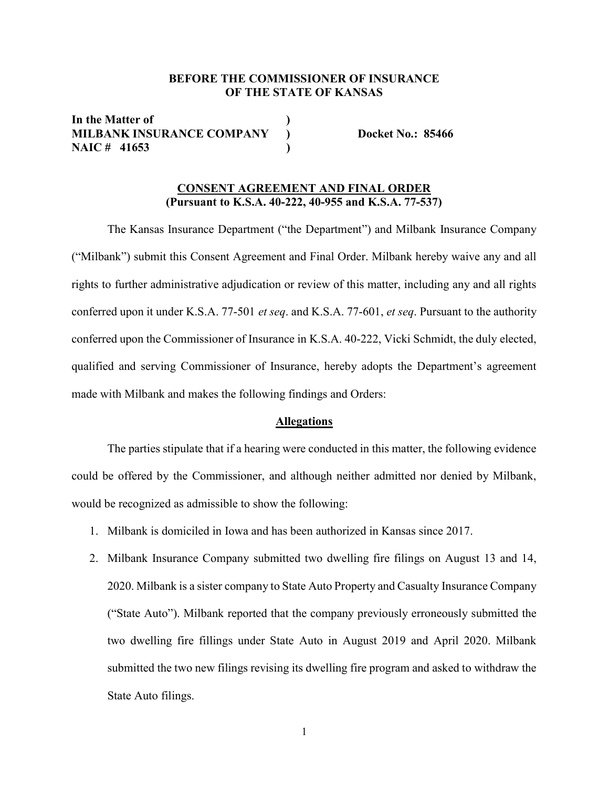## BEFORE THE COMMISSIONER OF INSURANCE OF THE STATE OF KANSAS

In the Matter of MILBANK INSURANCE COMPANY ) Docket No.: 85466 NAIC # 41653 )

# CONSENT AGREEMENT AND FINAL ORDER (Pursuant to K.S.A. 40-222, 40-955 and K.S.A. 77-537)

 The Kansas Insurance Department ("the Department") and Milbank Insurance Company ("Milbank") submit this Consent Agreement and Final Order. Milbank hereby waive any and all rights to further administrative adjudication or review of this matter, including any and all rights conferred upon it under K.S.A. 77-501 et seq. and K.S.A. 77-601, et seq. Pursuant to the authority conferred upon the Commissioner of Insurance in K.S.A. 40-222, Vicki Schmidt, the duly elected, qualified and serving Commissioner of Insurance, hereby adopts the Department's agreement made with Milbank and makes the following findings and Orders:

#### Allegations

The parties stipulate that if a hearing were conducted in this matter, the following evidence could be offered by the Commissioner, and although neither admitted nor denied by Milbank, would be recognized as admissible to show the following:

- 1. Milbank is domiciled in Iowa and has been authorized in Kansas since 2017.
- 2. Milbank Insurance Company submitted two dwelling fire filings on August 13 and 14, 2020. Milbank is a sister company to State Auto Property and Casualty Insurance Company ("State Auto"). Milbank reported that the company previously erroneously submitted the two dwelling fire fillings under State Auto in August 2019 and April 2020. Milbank submitted the two new filings revising its dwelling fire program and asked to withdraw the State Auto filings.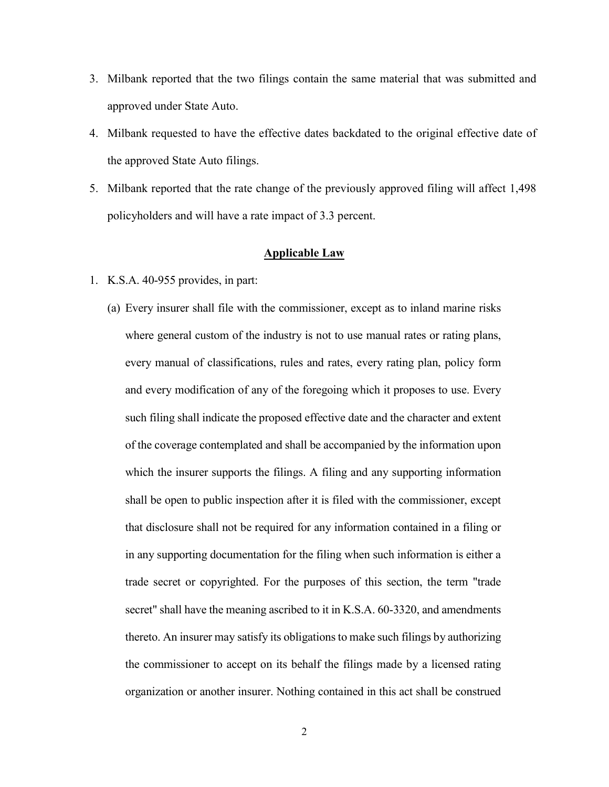- 3. Milbank reported that the two filings contain the same material that was submitted and approved under State Auto.
- 4. Milbank requested to have the effective dates backdated to the original effective date of the approved State Auto filings.
- 5. Milbank reported that the rate change of the previously approved filing will affect 1,498 policyholders and will have a rate impact of 3.3 percent.

## Applicable Law

- 1. K.S.A. 40-955 provides, in part:
	- (a) Every insurer shall file with the commissioner, except as to inland marine risks where general custom of the industry is not to use manual rates or rating plans, every manual of classifications, rules and rates, every rating plan, policy form and every modification of any of the foregoing which it proposes to use. Every such filing shall indicate the proposed effective date and the character and extent of the coverage contemplated and shall be accompanied by the information upon which the insurer supports the filings. A filing and any supporting information shall be open to public inspection after it is filed with the commissioner, except that disclosure shall not be required for any information contained in a filing or in any supporting documentation for the filing when such information is either a trade secret or copyrighted. For the purposes of this section, the term "trade secret" shall have the meaning ascribed to it in K.S.A. 60-3320, and amendments thereto. An insurer may satisfy its obligations to make such filings by authorizing the commissioner to accept on its behalf the filings made by a licensed rating organization or another insurer. Nothing contained in this act shall be construed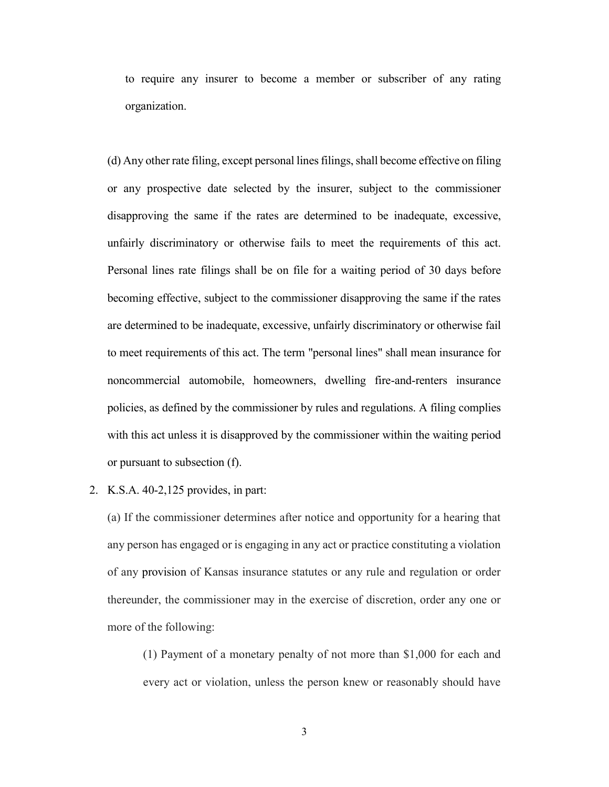to require any insurer to become a member or subscriber of any rating organization.

(d) Any other rate filing, except personal lines filings, shall become effective on filing or any prospective date selected by the insurer, subject to the commissioner disapproving the same if the rates are determined to be inadequate, excessive, unfairly discriminatory or otherwise fails to meet the requirements of this act. Personal lines rate filings shall be on file for a waiting period of 30 days before becoming effective, subject to the commissioner disapproving the same if the rates are determined to be inadequate, excessive, unfairly discriminatory or otherwise fail to meet requirements of this act. The term "personal lines" shall mean insurance for noncommercial automobile, homeowners, dwelling fire-and-renters insurance policies, as defined by the commissioner by rules and regulations. A filing complies with this act unless it is disapproved by the commissioner within the waiting period or pursuant to subsection (f).

#### 2. K.S.A. 40-2,125 provides, in part:

(a) If the commissioner determines after notice and opportunity for a hearing that any person has engaged or is engaging in any act or practice constituting a violation of any provision of Kansas insurance statutes or any rule and regulation or order thereunder, the commissioner may in the exercise of discretion, order any one or more of the following:

(1) Payment of a monetary penalty of not more than \$1,000 for each and every act or violation, unless the person knew or reasonably should have

3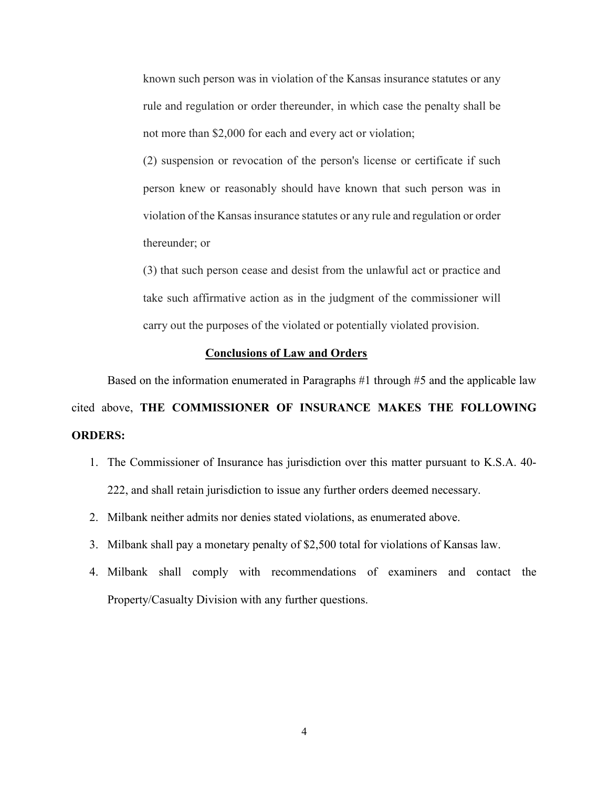known such person was in violation of the Kansas insurance statutes or any rule and regulation or order thereunder, in which case the penalty shall be not more than \$2,000 for each and every act or violation;

(2) suspension or revocation of the person's license or certificate if such person knew or reasonably should have known that such person was in violation of the Kansas insurance statutes or any rule and regulation or order thereunder; or

(3) that such person cease and desist from the unlawful act or practice and take such affirmative action as in the judgment of the commissioner will carry out the purposes of the violated or potentially violated provision.

## Conclusions of Law and Orders

 Based on the information enumerated in Paragraphs #1 through #5 and the applicable law cited above, THE COMMISSIONER OF INSURANCE MAKES THE FOLLOWING ORDERS:

- 1. The Commissioner of Insurance has jurisdiction over this matter pursuant to K.S.A. 40- 222, and shall retain jurisdiction to issue any further orders deemed necessary.
- 2. Milbank neither admits nor denies stated violations, as enumerated above.
- 3. Milbank shall pay a monetary penalty of \$2,500 total for violations of Kansas law.
- 4. Milbank shall comply with recommendations of examiners and contact the Property/Casualty Division with any further questions.